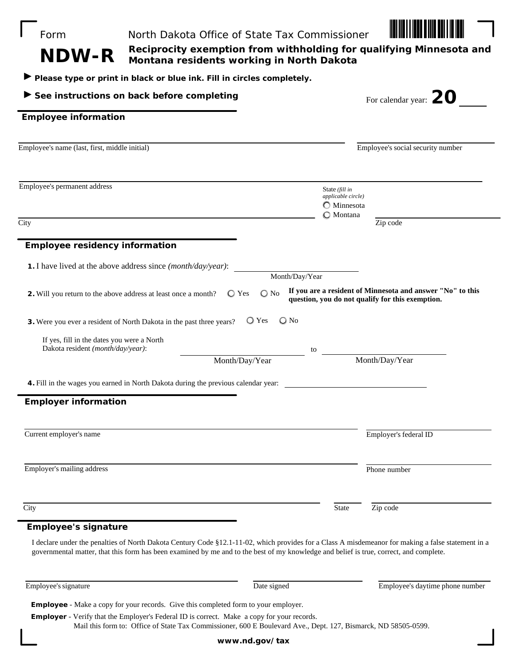| See instructions on back before completing                                                                                                         | Please type or print in black or blue ink. Fill in circles completely. |                                            | For calendar year: $ZO$                                                                                        |  |
|----------------------------------------------------------------------------------------------------------------------------------------------------|------------------------------------------------------------------------|--------------------------------------------|----------------------------------------------------------------------------------------------------------------|--|
| <b>Employee information</b>                                                                                                                        |                                                                        |                                            |                                                                                                                |  |
|                                                                                                                                                    |                                                                        |                                            |                                                                                                                |  |
| Employee's name (last, first, middle initial)                                                                                                      |                                                                        |                                            | Employee's social security number                                                                              |  |
| Employee's permanent address                                                                                                                       |                                                                        | State (fill in<br>applicable circle)       |                                                                                                                |  |
|                                                                                                                                                    |                                                                        | $\bigcirc$ Minnesota<br>$\bigcirc$ Montana |                                                                                                                |  |
| City                                                                                                                                               |                                                                        |                                            | Zip code                                                                                                       |  |
| <b>Employee residency information</b>                                                                                                              |                                                                        |                                            |                                                                                                                |  |
| 1. I have lived at the above address since (month/day/year):                                                                                       |                                                                        |                                            |                                                                                                                |  |
|                                                                                                                                                    |                                                                        | Month/Day/Year                             |                                                                                                                |  |
| 2. Will you return to the above address at least once a month?                                                                                     | $\bigcirc$ No<br>$\bigcirc$ Yes                                        |                                            | If you are a resident of Minnesota and answer "No" to this<br>question, you do not qualify for this exemption. |  |
| 3. Were you ever a resident of North Dakota in the past three years?                                                                               | $\bigcirc$ Yes                                                         | $\bigcirc$ No                              |                                                                                                                |  |
| If yes, fill in the dates you were a North<br>Dakota resident (month/day/year):                                                                    |                                                                        |                                            |                                                                                                                |  |
|                                                                                                                                                    | Month/Day/Year                                                         | to                                         | Month/Day/Year                                                                                                 |  |
|                                                                                                                                                    |                                                                        |                                            |                                                                                                                |  |
| 4. Fill in the wages you earned in North Dakota during the previous calendar year:                                                                 |                                                                        |                                            |                                                                                                                |  |
| <b>Employer information</b>                                                                                                                        |                                                                        |                                            |                                                                                                                |  |
|                                                                                                                                                    |                                                                        |                                            |                                                                                                                |  |
| Current employer's name                                                                                                                            |                                                                        |                                            | Employer's federal ID                                                                                          |  |
|                                                                                                                                                    |                                                                        |                                            |                                                                                                                |  |
| Employer's mailing address                                                                                                                         |                                                                        |                                            | Phone number                                                                                                   |  |
|                                                                                                                                                    |                                                                        |                                            |                                                                                                                |  |
| City                                                                                                                                               |                                                                        | State                                      | Zip code                                                                                                       |  |
| <b>Employee's signature</b>                                                                                                                        |                                                                        |                                            |                                                                                                                |  |
| I declare under the penalties of North Dakota Century Code §12.1-11-02, which provides for a Class A misdemeanor for making a false statement in a |                                                                        |                                            |                                                                                                                |  |
| governmental matter, that this form has been examined by me and to the best of my knowledge and belief is true, correct, and complete.             |                                                                        |                                            |                                                                                                                |  |
| Employee's signature                                                                                                                               | Date signed                                                            |                                            | Employee's daytime phone number                                                                                |  |
| <b>Employee</b> - Make a copy for your records. Give this completed form to your employer.                                                         |                                                                        |                                            |                                                                                                                |  |